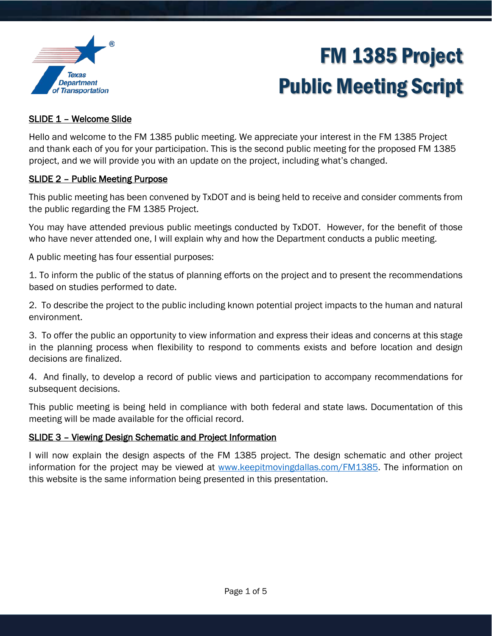

### SLIDE 1 – Welcome Slide

Hello and welcome to the FM 1385 public meeting. We appreciate your interest in the FM 1385 Project and thank each of you for your participation. This is the second public meeting for the proposed FM 1385 project, and we will provide you with an update on the project, including what's changed.

#### SLIDE 2 – Public Meeting Purpose

This public meeting has been convened by TxDOT and is being held to receive and consider comments from the public regarding the FM 1385 Project.

You may have attended previous public meetings conducted by TxDOT. However, for the benefit of those who have never attended one, I will explain why and how the Department conducts a public meeting.

A public meeting has four essential purposes:

1. To inform the public of the status of planning efforts on the project and to present the recommendations based on studies performed to date.

2. To describe the project to the public including known potential project impacts to the human and natural environment.

3. To offer the public an opportunity to view information and express their ideas and concerns at this stage in the planning process when flexibility to respond to comments exists and before location and design decisions are finalized.

4. And finally, to develop a record of public views and participation to accompany recommendations for subsequent decisions.

This public meeting is being held in compliance with both federal and state laws. Documentation of this meeting will be made available for the official record.

### SLIDE 3 – Viewing Design Schematic and Project Information

I will now explain the design aspects of the FM 1385 project. The design schematic and other project information for the project may be viewed at [www.keepitmovingdallas.com/FM1385.](http://www.keepitmovingdallas.com/FM1385) The information on this website is the same information being presented in this presentation.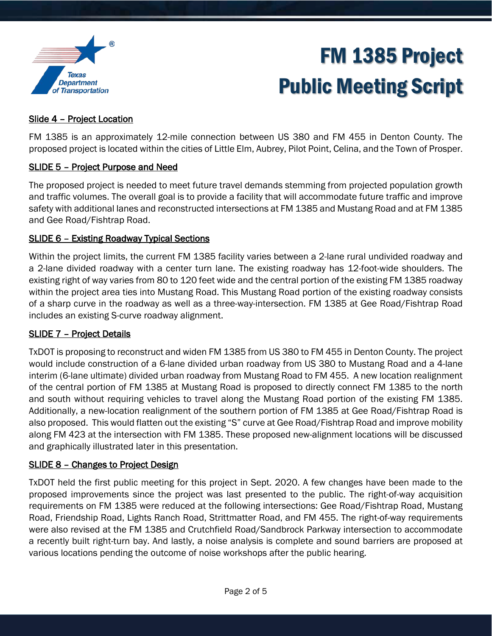

### Slide 4 – Project Location

FM 1385 is an approximately 12-mile connection between US 380 and FM 455 in Denton County. The proposed project is located within the cities of Little Elm, Aubrey, Pilot Point, Celina, and the Town of Prosper.

### SLIDE 5 – Project Purpose and Need

The proposed project is needed to meet future travel demands stemming from projected population growth and traffic volumes. The overall goal is to provide a facility that will accommodate future traffic and improve safety with additional lanes and reconstructed intersections at FM 1385 and Mustang Road and at FM 1385 and Gee Road/Fishtrap Road.

#### SLIDE 6 – Existing Roadway Typical Sections

Within the project limits, the current FM 1385 facility varies between a 2-lane rural undivided roadway and a 2-lane divided roadway with a center turn lane. The existing roadway has 12-foot-wide shoulders. The existing right of way varies from 80 to 120 feet wide and the central portion of the existing FM 1385 roadway within the project area ties into Mustang Road. This Mustang Road portion of the existing roadway consists of a sharp curve in the roadway as well as a three-way-intersection. FM 1385 at Gee Road/Fishtrap Road includes an existing S-curve roadway alignment.

### SLIDE 7 – Project Details

TxDOT is proposing to reconstruct and widen FM 1385 from US 380 to FM 455 in Denton County. The project would include construction of a 6-lane divided urban roadway from US 380 to Mustang Road and a 4-lane interim (6-lane ultimate) divided urban roadway from Mustang Road to FM 455. A new location realignment of the central portion of FM 1385 at Mustang Road is proposed to directly connect FM 1385 to the north and south without requiring vehicles to travel along the Mustang Road portion of the existing FM 1385. Additionally, a new-location realignment of the southern portion of FM 1385 at Gee Road/Fishtrap Road is also proposed. This would flatten out the existing "S" curve at Gee Road/Fishtrap Road and improve mobility along FM 423 at the intersection with FM 1385. These proposed new-alignment locations will be discussed and graphically illustrated later in this presentation.

#### SLIDE 8 – Changes to Project Design

TxDOT held the first public meeting for this project in Sept. 2020. A few changes have been made to the proposed improvements since the project was last presented to the public. The right-of-way acquisition requirements on FM 1385 were reduced at the following intersections: Gee Road/Fishtrap Road, Mustang Road, Friendship Road, Lights Ranch Road, Strittmatter Road, and FM 455. The right-of-way requirements were also revised at the FM 1385 and Crutchfield Road/Sandbrock Parkway intersection to accommodate a recently built right-turn bay. And lastly, a noise analysis is complete and sound barriers are proposed at various locations pending the outcome of noise workshops after the public hearing.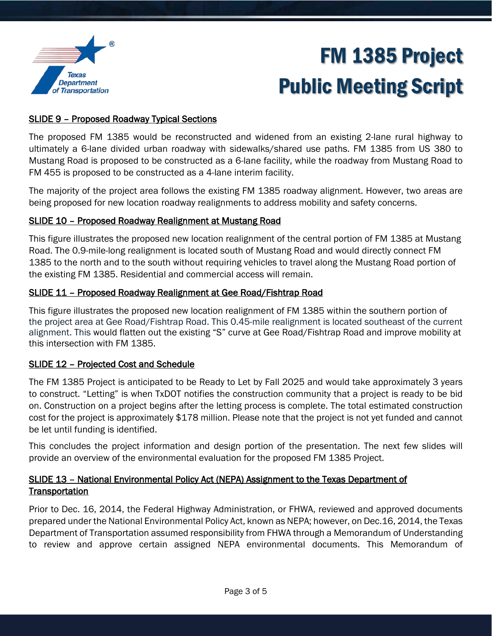

### SLIDE 9 – Proposed Roadway Typical Sections

The proposed FM 1385 would be reconstructed and widened from an existing 2-lane rural highway to ultimately a 6-lane divided urban roadway with sidewalks/shared use paths. FM 1385 from US 380 to Mustang Road is proposed to be constructed as a 6-lane facility, while the roadway from Mustang Road to FM 455 is proposed to be constructed as a 4-lane interim facility.

The majority of the project area follows the existing FM 1385 roadway alignment. However, two areas are being proposed for new location roadway realignments to address mobility and safety concerns.

### SLIDE 10 – Proposed Roadway Realignment at Mustang Road

This figure illustrates the proposed new location realignment of the central portion of FM 1385 at Mustang Road. The 0.9-mile-long realignment is located south of Mustang Road and would directly connect FM 1385 to the north and to the south without requiring vehicles to travel along the Mustang Road portion of the existing FM 1385. Residential and commercial access will remain.

### SLIDE 11 – Proposed Roadway Realignment at Gee Road/Fishtrap Road

This figure illustrates the proposed new location realignment of FM 1385 within the southern portion of the project area at Gee Road/Fishtrap Road. This 0.45-mile realignment is located southeast of the current alignment. This would flatten out the existing "S" curve at Gee Road/Fishtrap Road and improve mobility at this intersection with FM 1385.

### SLIDE 12 – Projected Cost and Schedule

The FM 1385 Project is anticipated to be Ready to Let by Fall 2025 and would take approximately 3 years to construct. "Letting" is when TxDOT notifies the construction community that a project is ready to be bid on. Construction on a project begins after the letting process is complete. The total estimated construction cost for the project is approximately \$178 million. Please note that the project is not yet funded and cannot be let until funding is identified.

This concludes the project information and design portion of the presentation. The next few slides will provide an overview of the environmental evaluation for the proposed FM 1385 Project.

### SLIDE 13 – National Environmental Policy Act (NEPA) Assignment to the Texas Department of **Transportation**

Prior to Dec. 16, 2014, the Federal Highway Administration, or FHWA, reviewed and approved documents prepared under the National Environmental Policy Act, known as NEPA; however, on Dec.16, 2014, the Texas Department of Transportation assumed responsibility from FHWA through a Memorandum of Understanding to review and approve certain assigned NEPA environmental documents. This Memorandum of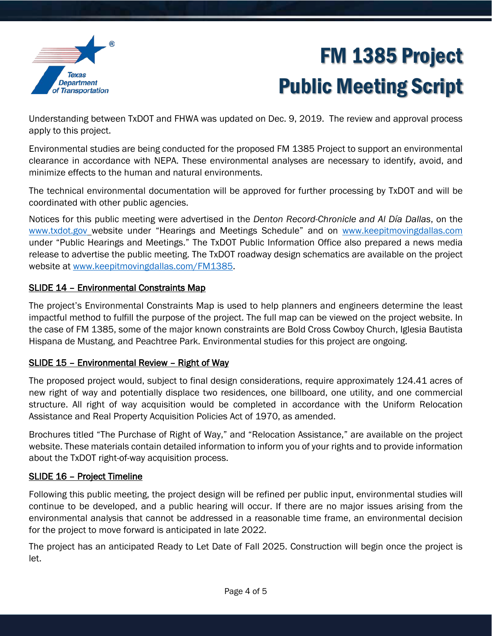

Understanding between TxDOT and FHWA was updated on Dec. 9, 2019. The review and approval process apply to this project.

Environmental studies are being conducted for the proposed FM 1385 Project to support an environmental clearance in accordance with NEPA. These environmental analyses are necessary to identify, avoid, and minimize effects to the human and natural environments.

The technical environmental documentation will be approved for further processing by TxDOT and will be coordinated with other public agencies.

Notices for this public meeting were advertised in the *Denton Record-Chronicle and Al Día Dallas*, on the [www.txdot.gov](http://www.txdot.gov/) website under "Hearings and Meetings Schedule" and on [www.keepitmovingdallas.com](http://www.keepitmovingdallas.com/) under "Public Hearings and Meetings." The TxDOT Public Information Office also prepared a news media release to advertise the public meeting. The TxDOT roadway design schematics are available on the project website at [www.keepitmovingdallas.com/](http://www.keepitmovingdallas.com/)FM1385.

## SLIDE 14 – Environmental Constraints Map

The project's Environmental Constraints Map is used to help planners and engineers determine the least impactful method to fulfill the purpose of the project. The full map can be viewed on the project website. In the case of FM 1385, some of the major known constraints are Bold Cross Cowboy Church, Iglesia Bautista Hispana de Mustang, and Peachtree Park. Environmental studies for this project are ongoing.

## SLIDE 15 – Environmental Review – Right of Way

The proposed project would, subject to final design considerations, require approximately 124.41 acres of new right of way and potentially displace two residences, one billboard, one utility, and one commercial structure. All right of way acquisition would be completed in accordance with the Uniform Relocation Assistance and Real Property Acquisition Policies Act of 1970, as amended.

Brochures titled "The Purchase of Right of Way," and "Relocation Assistance," are available on the project website. These materials contain detailed information to inform you of your rights and to provide information about the TxDOT right-of-way acquisition process.

### SLIDE 16 – Project Timeline

Following this public meeting, the project design will be refined per public input, environmental studies will continue to be developed, and a public hearing will occur. If there are no major issues arising from the environmental analysis that cannot be addressed in a reasonable time frame, an environmental decision for the project to move forward is anticipated in late 2022.

The project has an anticipated Ready to Let Date of Fall 2025. Construction will begin once the project is let.